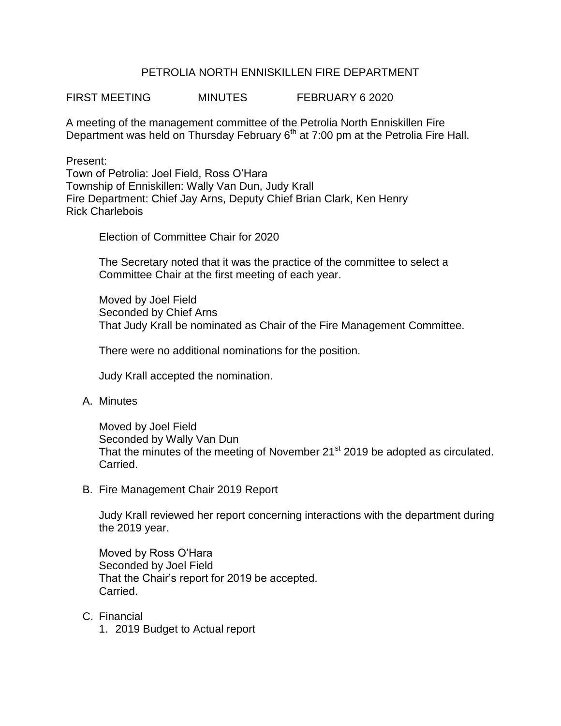## PETROLIA NORTH ENNISKILLEN FIRE DEPARTMENT

FIRST MEETING MINUTES FEBRUARY 6 2020

A meeting of the management committee of the Petrolia North Enniskillen Fire Department was held on Thursday February 6<sup>th</sup> at 7:00 pm at the Petrolia Fire Hall.

Present:

Town of Petrolia: Joel Field, Ross O'Hara Township of Enniskillen: Wally Van Dun, Judy Krall Fire Department: Chief Jay Arns, Deputy Chief Brian Clark, Ken Henry Rick Charlebois

Election of Committee Chair for 2020

The Secretary noted that it was the practice of the committee to select a Committee Chair at the first meeting of each year.

Moved by Joel Field Seconded by Chief Arns That Judy Krall be nominated as Chair of the Fire Management Committee.

There were no additional nominations for the position.

Judy Krall accepted the nomination.

A. Minutes

Moved by Joel Field Seconded by Wally Van Dun That the minutes of the meeting of November 21<sup>st</sup> 2019 be adopted as circulated. Carried.

B. Fire Management Chair 2019 Report

Judy Krall reviewed her report concerning interactions with the department during the 2019 year.

Moved by Ross O'Hara Seconded by Joel Field That the Chair's report for 2019 be accepted. Carried.

## C. Financial

1. 2019 Budget to Actual report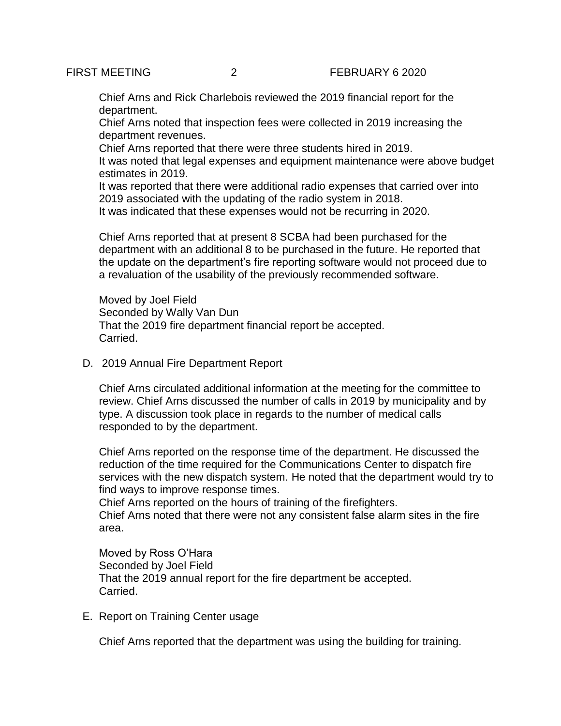Chief Arns and Rick Charlebois reviewed the 2019 financial report for the department.

Chief Arns noted that inspection fees were collected in 2019 increasing the department revenues.

Chief Arns reported that there were three students hired in 2019.

It was noted that legal expenses and equipment maintenance were above budget estimates in 2019.

It was reported that there were additional radio expenses that carried over into 2019 associated with the updating of the radio system in 2018.

It was indicated that these expenses would not be recurring in 2020.

Chief Arns reported that at present 8 SCBA had been purchased for the department with an additional 8 to be purchased in the future. He reported that the update on the department's fire reporting software would not proceed due to a revaluation of the usability of the previously recommended software.

Moved by Joel Field Seconded by Wally Van Dun That the 2019 fire department financial report be accepted. Carried.

D. 2019 Annual Fire Department Report

Chief Arns circulated additional information at the meeting for the committee to review. Chief Arns discussed the number of calls in 2019 by municipality and by type. A discussion took place in regards to the number of medical calls responded to by the department.

Chief Arns reported on the response time of the department. He discussed the reduction of the time required for the Communications Center to dispatch fire services with the new dispatch system. He noted that the department would try to find ways to improve response times.

Chief Arns reported on the hours of training of the firefighters.

Chief Arns noted that there were not any consistent false alarm sites in the fire area.

Moved by Ross O'Hara Seconded by Joel Field That the 2019 annual report for the fire department be accepted. Carried.

E. Report on Training Center usage

Chief Arns reported that the department was using the building for training.